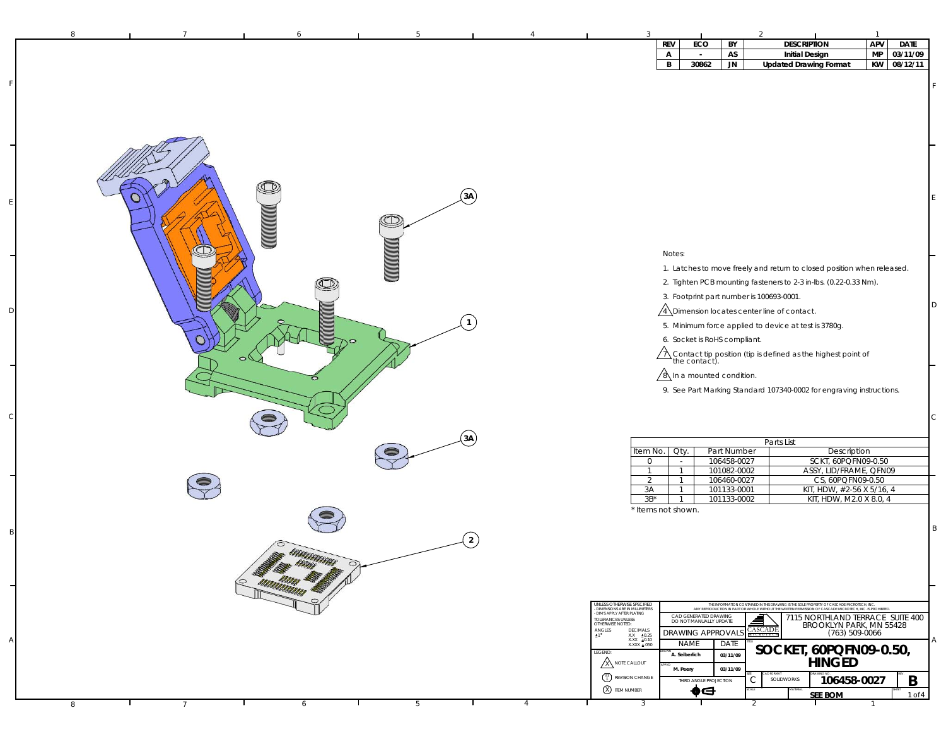|   |                |                   |   |                |                                                                                             | <b>REV</b>                           | ECO                                             | BY                         | <b>DESCRIPTION</b>                                                                                                                                                                                    | APV                | <b>DATE</b> |    |
|---|----------------|-------------------|---|----------------|---------------------------------------------------------------------------------------------|--------------------------------------|-------------------------------------------------|----------------------------|-------------------------------------------------------------------------------------------------------------------------------------------------------------------------------------------------------|--------------------|-------------|----|
|   |                |                   |   |                |                                                                                             | $\mathsf{A}$                         | $\overline{\phantom{a}}$                        | AS                         | <b>Initial Design</b>                                                                                                                                                                                 | <b>MP</b>          | 03/11/09    |    |
|   |                |                   |   |                |                                                                                             | B                                    | 30862                                           | <b>JN</b>                  | <b>Updated Drawing Format</b>                                                                                                                                                                         | <b>KW</b>          | 08/12/11    |    |
|   |                |                   |   |                |                                                                                             |                                      |                                                 |                            |                                                                                                                                                                                                       |                    |             |    |
|   |                |                   |   |                |                                                                                             |                                      |                                                 |                            |                                                                                                                                                                                                       |                    |             |    |
|   |                |                   |   |                |                                                                                             |                                      |                                                 |                            |                                                                                                                                                                                                       |                    |             |    |
|   |                |                   |   |                |                                                                                             |                                      |                                                 |                            |                                                                                                                                                                                                       |                    |             |    |
|   |                |                   |   |                |                                                                                             |                                      |                                                 |                            |                                                                                                                                                                                                       |                    |             |    |
|   |                |                   |   |                |                                                                                             |                                      |                                                 |                            |                                                                                                                                                                                                       |                    |             |    |
|   |                |                   |   |                |                                                                                             |                                      |                                                 |                            |                                                                                                                                                                                                       |                    |             |    |
|   |                |                   |   |                |                                                                                             |                                      |                                                 |                            |                                                                                                                                                                                                       |                    |             |    |
|   |                |                   |   |                |                                                                                             |                                      |                                                 |                            |                                                                                                                                                                                                       |                    |             |    |
|   |                |                   |   |                |                                                                                             |                                      |                                                 |                            |                                                                                                                                                                                                       |                    |             |    |
|   |                |                   |   | (3A)           |                                                                                             |                                      |                                                 |                            |                                                                                                                                                                                                       |                    |             | E  |
|   |                |                   |   |                |                                                                                             |                                      |                                                 |                            |                                                                                                                                                                                                       |                    |             |    |
|   |                |                   | Œ |                |                                                                                             |                                      |                                                 |                            |                                                                                                                                                                                                       |                    |             |    |
|   |                | <b>MMM)</b>       |   |                |                                                                                             |                                      |                                                 |                            |                                                                                                                                                                                                       |                    |             |    |
|   |                |                   |   |                |                                                                                             |                                      |                                                 |                            |                                                                                                                                                                                                       |                    |             |    |
|   |                |                   |   |                |                                                                                             | Notes:                               |                                                 |                            |                                                                                                                                                                                                       |                    |             |    |
|   |                |                   |   |                |                                                                                             |                                      |                                                 |                            |                                                                                                                                                                                                       |                    |             |    |
|   |                |                   |   |                |                                                                                             |                                      |                                                 |                            | 1. Latches to move freely and return to closed position when released.                                                                                                                                |                    |             |    |
|   |                |                   |   |                |                                                                                             |                                      |                                                 |                            | 2. Tighten PCB mounting fasteners to 2-3 in-lbs. (0.22-0.33 Nm).                                                                                                                                      |                    |             |    |
|   |                |                   |   |                |                                                                                             |                                      |                                                 |                            | 3. Footprint part number is 100693-0001.                                                                                                                                                              |                    |             |    |
|   |                |                   |   |                |                                                                                             |                                      |                                                 |                            | A Dimension locates center line of contact.                                                                                                                                                           |                    |             | D  |
|   |                |                   |   |                |                                                                                             |                                      |                                                 |                            |                                                                                                                                                                                                       |                    |             |    |
|   |                |                   |   |                |                                                                                             |                                      |                                                 |                            | 5. Minimum force applied to device at test is 3780g.                                                                                                                                                  |                    |             |    |
|   |                |                   |   |                |                                                                                             |                                      | 6. Socket is RoHS compliant.                    |                            |                                                                                                                                                                                                       |                    |             |    |
|   |                | $\sigma$          |   |                |                                                                                             |                                      |                                                 |                            | $\bigwedge$ Contact tip position (tip is defined as the highest point of the contact).                                                                                                                |                    |             |    |
|   |                |                   |   |                |                                                                                             |                                      |                                                 |                            |                                                                                                                                                                                                       |                    |             |    |
|   |                |                   |   |                |                                                                                             |                                      | $\sqrt{8}$ In a mounted condition.              |                            |                                                                                                                                                                                                       |                    |             |    |
|   |                |                   |   |                |                                                                                             |                                      |                                                 |                            | 9. See Part Marking Standard 107340-0002 for engraving instructions.                                                                                                                                  |                    |             |    |
|   |                |                   |   |                |                                                                                             |                                      |                                                 |                            |                                                                                                                                                                                                       |                    |             |    |
|   |                |                   |   |                |                                                                                             |                                      |                                                 |                            |                                                                                                                                                                                                       |                    |             |    |
|   |                |                   |   |                |                                                                                             |                                      |                                                 |                            |                                                                                                                                                                                                       |                    |             | C. |
|   |                |                   |   | (3A)           |                                                                                             |                                      |                                                 |                            |                                                                                                                                                                                                       |                    |             |    |
|   |                |                   |   |                |                                                                                             | Qty.                                 |                                                 |                            | Parts List                                                                                                                                                                                            | Description        |             |    |
|   |                |                   |   |                | Item No.<br>$\overline{0}$                                                                  | $\sim$                               |                                                 | Part Number<br>106458-0027 | SCKT, 60PQFN09-0.50                                                                                                                                                                                   |                    |             |    |
|   |                |                   |   |                | $\overline{1}$                                                                              | $\overline{1}$                       |                                                 | 101082-0002                | ASSY, LID/FRAME, QFN09                                                                                                                                                                                |                    |             |    |
|   |                |                   |   |                | 2                                                                                           | $\overline{1}$                       |                                                 | 106460-0027                | CS, 60PQFN09-0.50                                                                                                                                                                                     |                    |             |    |
|   |                |                   |   |                | 3A                                                                                          | -1                                   |                                                 | 101133-0001                | KIT, HDW, #2-56 X 5/16, 4                                                                                                                                                                             |                    |             |    |
|   |                |                   |   |                | $3B^*$                                                                                      | $\overline{1}$<br>* Items not shown. |                                                 | 101133-0002                | KIT, HDW, M2.0 X 8.0, 4                                                                                                                                                                               |                    |             |    |
|   |                |                   |   |                |                                                                                             |                                      |                                                 |                            |                                                                                                                                                                                                       |                    |             |    |
|   |                |                   |   |                |                                                                                             |                                      |                                                 |                            |                                                                                                                                                                                                       |                    |             | B  |
|   |                |                   |   | $\overline{2}$ |                                                                                             |                                      |                                                 |                            |                                                                                                                                                                                                       |                    |             |    |
|   |                | BIBANABANAN       |   |                |                                                                                             |                                      |                                                 |                            |                                                                                                                                                                                                       |                    |             |    |
|   |                |                   |   |                |                                                                                             |                                      |                                                 |                            |                                                                                                                                                                                                       |                    |             |    |
|   |                |                   |   |                |                                                                                             |                                      |                                                 |                            |                                                                                                                                                                                                       |                    |             |    |
|   |                |                   |   |                |                                                                                             |                                      |                                                 |                            |                                                                                                                                                                                                       |                    |             |    |
|   |                | <b>MARKATAN E</b> |   |                |                                                                                             |                                      |                                                 |                            |                                                                                                                                                                                                       |                    |             |    |
|   |                |                   |   |                | UNLESS OTHERWISE SPECIFIED<br>- DIMENSIONS ARE IN MILLIMETERS<br>- DIMS APPLY AFTER PLATING |                                      |                                                 |                            | THE INFORMATION CONTAINED IN THIS DRAWING IS THE SOLE PROPERTY OF CASCADE MICROTECH, INC.<br>ANY REPRODUCTION IN PART OR WHOLE WITHOUT THE WRITTEN PERMISSION OF CASCADE MICROTECH, INC. IS PROHIBITI |                    |             |    |
|   |                |                   |   |                | TOLERANCES UNLESS<br>OTHERWISE NOTED:                                                       |                                      | CAD GENERATED DRAWING<br>DO NOT MANUALLY UPDATE |                            | 7115 NORTHLAND TERRACE SUITE 400<br>₫<br>BROOKLYN PARK, MN 55428                                                                                                                                      |                    |             |    |
|   |                |                   |   |                | $ANGLES$<br>$\pm 1$<br>DECIMALS<br>$XX = \pm 0.25$                                          |                                      | DRAWING APPROVAL:                               |                            | <b>CASCADE</b>                                                                                                                                                                                        | $(763) 509 - 0066$ |             |    |
|   |                |                   |   |                | XXX ±0.10                                                                                   |                                      | NAME                                            | DATE                       | SOCKET, 60PQFN09-0.50,                                                                                                                                                                                |                    |             | Α  |
|   |                |                   |   |                | LEGEND:                                                                                     |                                      | A. Seiberlich                                   | 03/11/09                   |                                                                                                                                                                                                       |                    |             |    |
|   |                |                   |   |                | A NOTE CALLOUT                                                                              | M. Peery                             |                                                 | 03/11/09                   | <b>HINGED</b>                                                                                                                                                                                         |                    |             |    |
|   |                |                   |   |                | <sup>01</sup> REVISION CHANGE                                                               |                                      | THIRD ANGLE PROJECTION                          |                            | SOLIDWORKS<br>C                                                                                                                                                                                       | 106458-0027        | B           |    |
|   |                |                   |   |                | <b>8</b> ITEM NUMBER                                                                        |                                      | ♠⊖                                              |                            | <b>SEE BOM</b>                                                                                                                                                                                        |                    | 1 of 4      |    |
| 8 | $\overline{7}$ | 6                 | 5 | $\overline{4}$ | 3                                                                                           |                                      |                                                 |                            | $\blacksquare$<br>2                                                                                                                                                                                   |                    |             |    |
|   |                |                   |   |                |                                                                                             |                                      |                                                 |                            |                                                                                                                                                                                                       |                    |             |    |

F

E

D

 $\epsilon$ 

B

A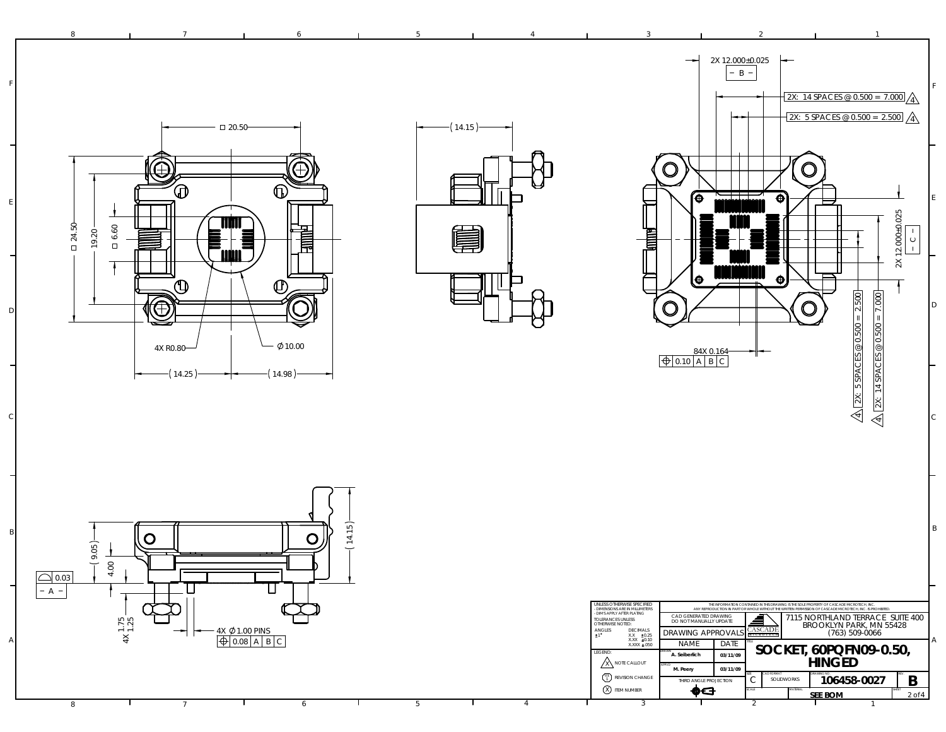88 1 7 1 6 1 5 1 4 1 3 1 2 1 7  $\rightarrow$ 2X 12.000±0.025 B F2X: 14 SPACES @ 0.500 = 7.000 42X: 5 SPACES @ 0.500 = 2.500 4 $-$  0 20.50 14.15  $\widehat{\mathbb{G}}$  $\bigoplus$  $\bigcirc$  $\cup$ ∕⊕  $\circledD$ Έ  $\ddot{\Phi}$ E $\overline{\mathbb{F}}$ **TIQUE** 计算 24.50 6.60 **≣** 19.20 **Tammed E** 19  $\mathcal{T}$ l⊕.  $\ddot{\mathbf{\Theta}}$ □  $\overline{\mathbb{O}}$  $\bigoplus$ **O** O ۰, D10.00 4X R0.80 84X 0.164 0.10 | A | B | C  $\leftarrow$  (14.98)  $-(14.25)$ C



|  |  |  |  |         | UNLESS OTHERWISE SPECIFIED<br>- DIMENSIONS ARE IN MILLIMETERS                          |                                                                                     |                      |            |                                                                               | THE INFORMATION CONTAINED IN THIS DRAWING IS THE SOLE PROPERTY OF CASCADE MICROTECH. INC.<br>ANY REPRODUCTION IN PART OR WHOLE WITHOUT THE WRITTEN PERMISSION OF CASCADE MICROTECH. INC. IS PROHIBITED. |                     |
|--|--|--|--|---------|----------------------------------------------------------------------------------------|-------------------------------------------------------------------------------------|----------------------|------------|-------------------------------------------------------------------------------|---------------------------------------------------------------------------------------------------------------------------------------------------------------------------------------------------------|---------------------|
|  |  |  |  | ANGLES  | - DIMS APPLY AFTER PLATING<br><b>TOLERANCES UNLESS</b><br>OTHERWISE NOTED:<br>DECIMALS | CAD GENERATED DRAWING<br>DO NOT MANUALLY UPDATE<br><b>DRAWING APPROVALS</b> CASCADE |                      | ₫          | 7115 NORTHLAND TERRACE SUITE 400<br>BROOKLYN PARK, MN 55428<br>(763) 509-0066 |                                                                                                                                                                                                         |                     |
|  |  |  |  |         | $XX = 20.25$<br>$XXX = 0.10$<br>XXXX ±.050                                             | <b>NAME</b>                                                                         | DATE                 |            |                                                                               | SOCKET, 60PQFN09-0.50,                                                                                                                                                                                  |                     |
|  |  |  |  | LEGEND: | /X NOTE CALLOUT                                                                        | A. Seiberlich<br><b>APPUTI</b><br>M. Peery                                          | 03/11/09<br>03/11/09 |            |                                                                               | <b>HINGED</b>                                                                                                                                                                                           |                     |
|  |  |  |  |         | $\binom{01}{1}$ REVISION CHANGE                                                        | THIRD ANGLE PROJECTION                                                              |                      | CAD FORMAT | <b>SOLIDWORKS</b>                                                             | DRAWING NO.<br>106458-0027                                                                                                                                                                              | B                   |
|  |  |  |  |         | $(X)$ item number                                                                      | œc                                                                                  |                      | SCALE      | MATERIAL                                                                      | <b>SEE BOM</b>                                                                                                                                                                                          | SHEET<br>$2$ of $4$ |
|  |  |  |  |         |                                                                                        |                                                                                     |                      |            |                                                                               |                                                                                                                                                                                                         |                     |

 $\checkmark$ 

D

B

F

2X 12.000±0.025

2X: 14 SPACES @ 0.500 = 7.000

14 SPAC

 $\circledR$ 

2X: 5 SPACES @ 0.500 = 2.500  $\mid$ 

 $\overline{S}$  $\overline{\text{SO}}$ 

त्र 4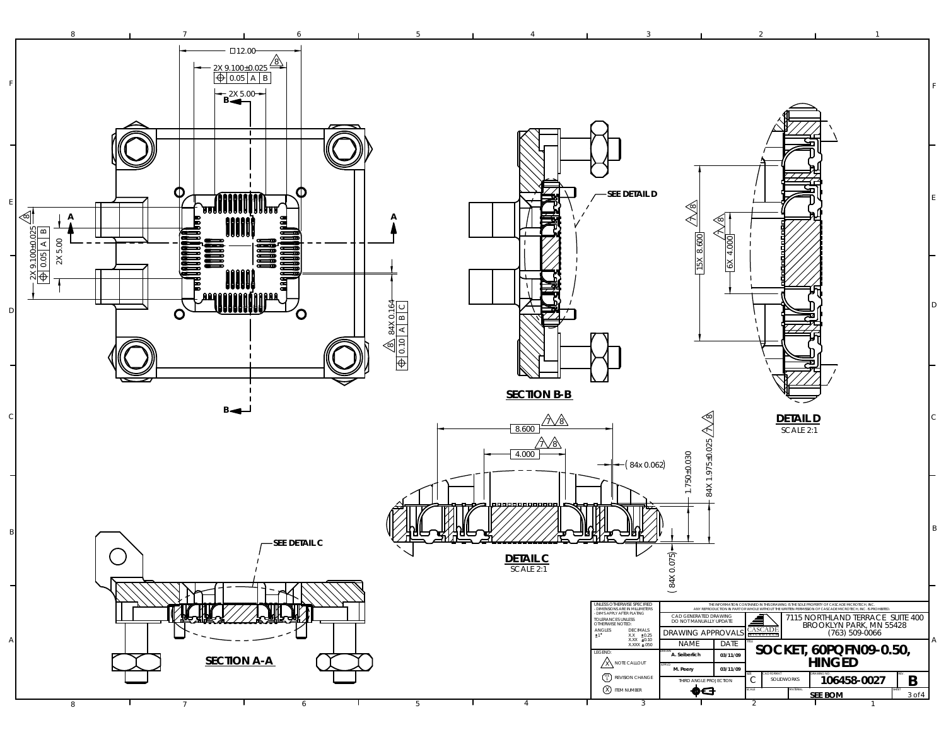